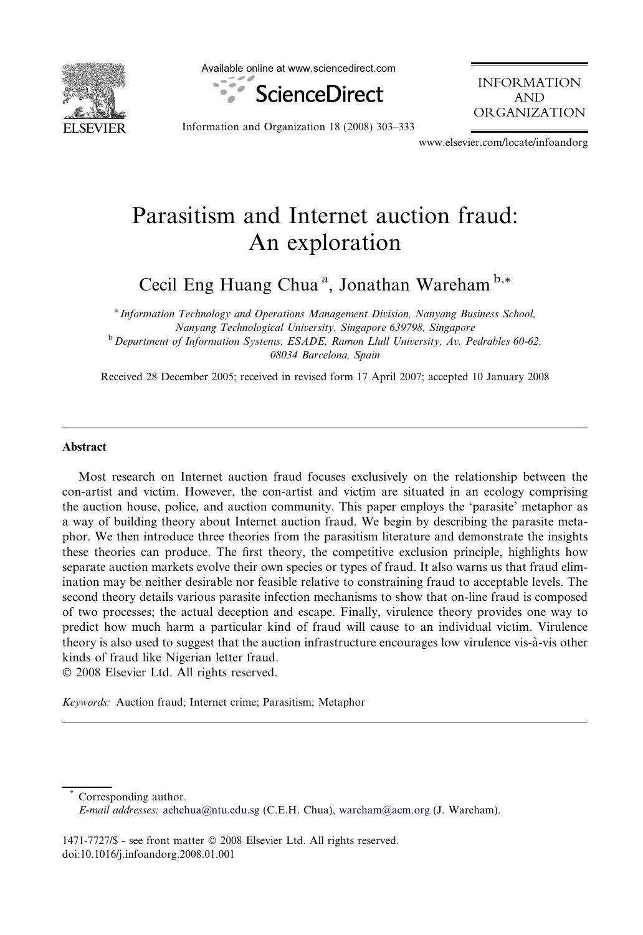

Available online at www.sciencedirect.com



INFORMATION AND ORGANIZATION

Information and Organization 18 (2008) 303–333

www.elsevier.com/locate/infoandorg

## Parasitism and Internet auction fraud: An exploration

Cecil Eng Huang Chua<sup>a</sup>, Jonathan Wareham<sup>b,\*</sup>

<sup>a</sup> Information Technology and Operations Management Division, Nanyang Business School, Nanyang Technological University, Singapore 639798, Singapore <sup>b</sup> Department of Information Systems, ESADE, Ramon Llull University, Av. Pedrables 60-62, 08034 Barcelona, Spain

Received 28 December 2005; received in revised form 17 April 2007; accepted 10 January 2008

## Abstract

Most research on Internet auction fraud focuses exclusively on the relationship between the con-artist and victim. However, the con-artist and victim are situated in an ecology comprising the auction house, police, and auction community. This paper employs the 'parasite' metaphor as a way of building theory about Internet auction fraud. We begin by describing the parasite metaphor. We then introduce three theories from the parasitism literature and demonstrate the insights these theories can produce. The first theory, the competitive exclusion principle, highlights how separate auction markets evolve their own species or types of fraud. It also warns us that fraud elimination may be neither desirable nor feasible relative to constraining fraud to acceptable levels. The second theory details various parasite infection mechanisms to show that on-line fraud is composed of two processes; the actual deception and escape. Finally, virulence theory provides one way to predict how much harm a particular kind of fraud will cause to an individual victim. Virulence theory is also used to suggest that the auction infrastructure encourages low virulence vis-a`-vis other kinds of fraud like Nigerian letter fraud.

© 2008 Elsevier Ltd. All rights reserved.

Keywords: Auction fraud; Internet crime; Parasitism; Metaphor

Corresponding author. E-mail addresses: [aehchua@ntu.edu.sg](mailto:aehchua@ntu.edu.sg) (C.E.H. Chua), [wareham@acm.org](mailto:wareham@acm.org) (J. Wareham).

1471-7727/\$ - see front matter © 2008 Elsevier Ltd. All rights reserved. doi:10.1016/j.infoandorg.2008.01.001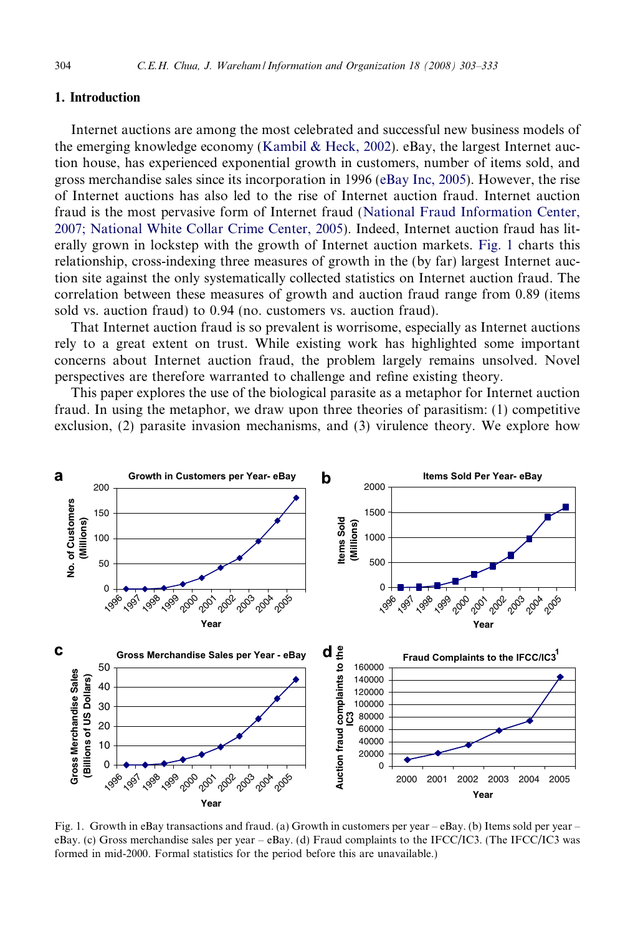## 1. Introduction

Internet auctions are among the most celebrated and successful new business models of the emerging knowledge economy ([Kambil & Heck, 2002\)](#page--1-0). eBay, the largest Internet auction house, has experienced exponential growth in customers, number of items sold, and gross merchandise sales since its incorporation in 1996 ([eBay Inc, 2005](#page--1-0)). However, the rise of Internet auctions has also led to the rise of Internet auction fraud. Internet auction fraud is the most pervasive form of Internet fraud [\(National Fraud Information Center,](#page--1-0) [2007; National White Collar Crime Center, 2005\)](#page--1-0). Indeed, Internet auction fraud has literally grown in lockstep with the growth of Internet auction markets. Fig. 1 charts this relationship, cross-indexing three measures of growth in the (by far) largest Internet auction site against the only systematically collected statistics on Internet auction fraud. The correlation between these measures of growth and auction fraud range from 0.89 (items sold vs. auction fraud) to 0.94 (no. customers vs. auction fraud).

That Internet auction fraud is so prevalent is worrisome, especially as Internet auctions rely to a great extent on trust. While existing work has highlighted some important concerns about Internet auction fraud, the problem largely remains unsolved. Novel perspectives are therefore warranted to challenge and refine existing theory.

This paper explores the use of the biological parasite as a metaphor for Internet auction fraud. In using the metaphor, we draw upon three theories of parasitism: (1) competitive exclusion, (2) parasite invasion mechanisms, and (3) virulence theory. We explore how



Fig. 1. Growth in eBay transactions and fraud. (a) Growth in customers per year – eBay. (b) Items sold per year – eBay. (c) Gross merchandise sales per year – eBay. (d) Fraud complaints to the IFCC/IC3. (The IFCC/IC3 was formed in mid-2000. Formal statistics for the period before this are unavailable.)